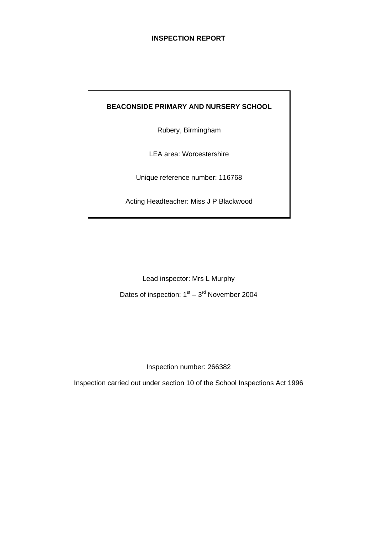## **INSPECTION REPORT**

# **BEACONSIDE PRIMARY AND NURSERY SCHOOL**

Rubery, Birmingham

LEA area: Worcestershire

Unique reference number: 116768

Acting Headteacher: Miss J P Blackwood

Lead inspector: Mrs L Murphy Dates of inspection:  $1<sup>st</sup> - 3<sup>rd</sup>$  November 2004

Inspection number: 266382

Inspection carried out under section 10 of the School Inspections Act 1996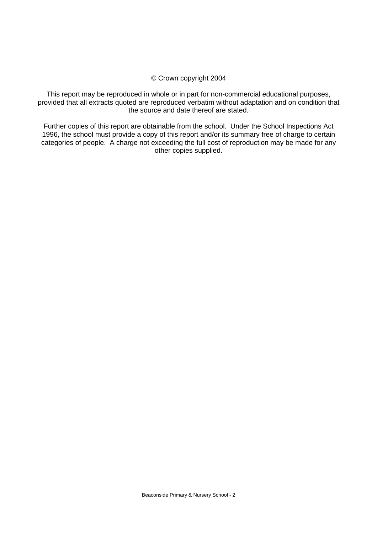#### © Crown copyright 2004

This report may be reproduced in whole or in part for non-commercial educational purposes, provided that all extracts quoted are reproduced verbatim without adaptation and on condition that the source and date thereof are stated.

Further copies of this report are obtainable from the school. Under the School Inspections Act 1996, the school must provide a copy of this report and/or its summary free of charge to certain categories of people. A charge not exceeding the full cost of reproduction may be made for any other copies supplied.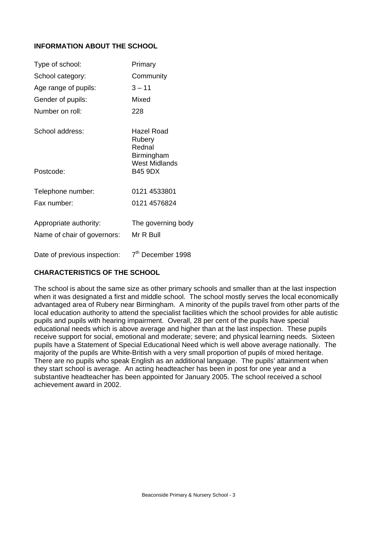# **INFORMATION ABOUT THE SCHOOL**

| Type of school:                                       | Primary                                                                     |
|-------------------------------------------------------|-----------------------------------------------------------------------------|
| School category:                                      | Community                                                                   |
| Age range of pupils:                                  | $3 - 11$                                                                    |
| Gender of pupils:                                     | Mixed                                                                       |
| Number on roll:                                       | 228                                                                         |
| School address:                                       | <b>Hazel Road</b><br>Rubery<br>Rednal<br>Birmingham<br><b>West Midlands</b> |
| Postcode:                                             | <b>B45 9DX</b>                                                              |
| Telephone number:                                     | 0121 4533801                                                                |
| Fax number:                                           | 0121 4576824                                                                |
| Appropriate authority:<br>Name of chair of governors: | The governing body<br>Mr R Bull                                             |
| Date of previous inspection:                          | 7 <sup>th</sup> December 1998                                               |

## **CHARACTERISTICS OF THE SCHOOL**

The school is about the same size as other primary schools and smaller than at the last inspection when it was designated a first and middle school. The school mostly serves the local economically advantaged area of Rubery near Birmingham. A minority of the pupils travel from other parts of the local education authority to attend the specialist facilities which the school provides for able autistic pupils and pupils with hearing impairment. Overall, 28 per cent of the pupils have special educational needs which is above average and higher than at the last inspection. These pupils receive support for social, emotional and moderate; severe; and physical learning needs. Sixteen pupils have a Statement of Special Educational Need which is well above average nationally. The majority of the pupils are White-British with a very small proportion of pupils of mixed heritage. There are no pupils who speak English as an additional language. The pupils' attainment when they start school is average. An acting headteacher has been in post for one year and a substantive headteacher has been appointed for January 2005. The school received a school achievement award in 2002.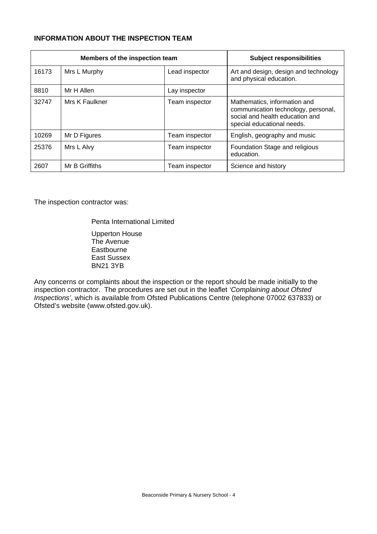# **INFORMATION ABOUT THE INSPECTION TEAM**

| Members of the inspection team |                |                | <b>Subject responsibilities</b>                                                                                                      |
|--------------------------------|----------------|----------------|--------------------------------------------------------------------------------------------------------------------------------------|
| 16173                          | Mrs L Murphy   | Lead inspector | Art and design, design and technology<br>and physical education.                                                                     |
| 8810                           | Mr H Allen     | Lay inspector  |                                                                                                                                      |
| 32747                          | Mrs K Faulkner | Team inspector | Mathematics, information and<br>communication technology, personal,<br>social and health education and<br>special educational needs. |
| 10269                          | Mr D Figures   | Team inspector | English, geography and music                                                                                                         |
| 25376                          | Mrs L Alvy     | Team inspector | Foundation Stage and religious<br>education.                                                                                         |
| 2607                           | Mr B Griffiths | Team inspector | Science and history                                                                                                                  |

The inspection contractor was:

Penta International Limited

 Upperton House The Avenue Eastbourne East Sussex BN21 3YB

Any concerns or complaints about the inspection or the report should be made initially to the inspection contractor. The procedures are set out in the leaflet *'Complaining about Ofsted Inspections'*, which is available from Ofsted Publications Centre (telephone 07002 637833) or Ofsted's website (www.ofsted.gov.uk).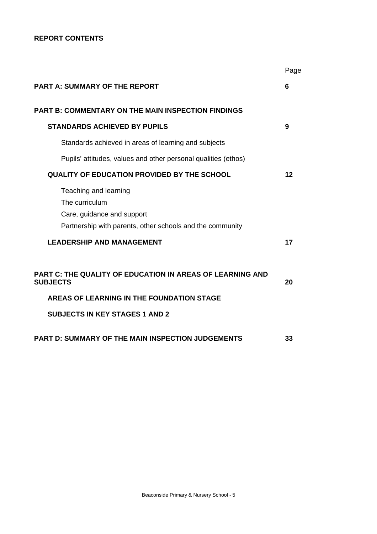## **REPORT CONTENTS**

|                                                                                                                                                                    | Page |
|--------------------------------------------------------------------------------------------------------------------------------------------------------------------|------|
| <b>PART A: SUMMARY OF THE REPORT</b>                                                                                                                               | 6    |
| <b>PART B: COMMENTARY ON THE MAIN INSPECTION FINDINGS</b>                                                                                                          |      |
| <b>STANDARDS ACHIEVED BY PUPILS</b>                                                                                                                                | 9    |
| Standards achieved in areas of learning and subjects                                                                                                               |      |
| Pupils' attitudes, values and other personal qualities (ethos)                                                                                                     |      |
| <b>QUALITY OF EDUCATION PROVIDED BY THE SCHOOL</b>                                                                                                                 | 12   |
| Teaching and learning<br>The curriculum<br>Care, guidance and support<br>Partnership with parents, other schools and the community                                 |      |
| <b>LEADERSHIP AND MANAGEMENT</b>                                                                                                                                   | 17   |
| PART C: THE QUALITY OF EDUCATION IN AREAS OF LEARNING AND<br><b>SUBJECTS</b><br>AREAS OF LEARNING IN THE FOUNDATION STAGE<br><b>SUBJECTS IN KEY STAGES 1 AND 2</b> | 20   |
| PART D: SUMMARY OF THE MAIN INSPECTION JUDGEMENTS                                                                                                                  | 33   |
|                                                                                                                                                                    |      |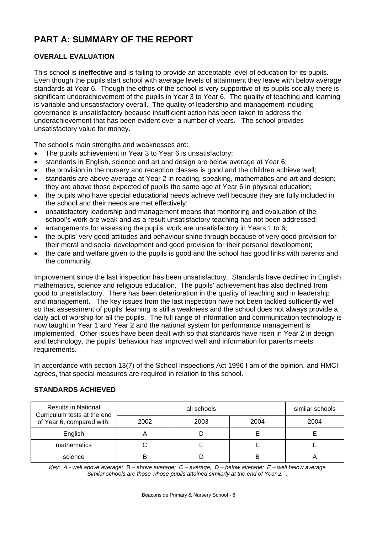# **PART A: SUMMARY OF THE REPORT**

# **OVERALL EVALUATION**

This school is **ineffective** and is failing to provide an acceptable level of education for its pupils. Even though the pupils start school with average levels of attainment they leave with below average standards at Year 6. Though the ethos of the school is very supportive of its pupils socially there is significant underachievement of the pupils in Year 3 to Year 6. The quality of teaching and learning is variable and unsatisfactory overall. The quality of leadership and management including governance is unsatisfactory because insufficient action has been taken to address the underachievement that has been evident over a number of years. The school provides unsatisfactory value for money.

The school's main strengths and weaknesses are:

- The pupils achievement in Year 3 to Year 6 is unsatisfactory;
- standards in English, science and art and design are below average at Year 6;
- the provision in the nursery and reception classes is good and the children achieve well;
- standards are above average at Year 2 in reading, speaking, mathematics and art and design; they are above those expected of pupils the same age at Year 6 in physical education;
- the pupils who have special educational needs achieve well because they are fully included in the school and their needs are met effectively;
- unsatisfactory leadership and management means that monitoring and evaluation of the school's work are weak and as a result unsatisfactory teaching has not been addressed;
- arrangements for assessing the pupils' work are unsatisfactory in Years 1 to 6;
- the pupils' very good attitudes and behaviour shine through because of very good provision for their moral and social development and good provision for their personal development;
- the care and welfare given to the pupils is good and the school has good links with parents and the community.

Improvement since the last inspection has been unsatisfactory. Standards have declined in English, mathematics, science and religious education. The pupils' achievement has also declined from good to unsatisfactory. There has been deterioration in the quality of teaching and in leadership and management. The key issues from the last inspection have not been tackled sufficiently well so that assessment of pupils' learning is still a weakness and the school does not always provide a daily act of worship for all the pupils. The full range of information and communication technology is now taught in Year 1 and Year 2 and the national system for performance management is implemented. Other issues have been dealt with so that standards have risen in Year 2 in design and technology, the pupils' behaviour has improved well and information for parents meets requirements.

In accordance with section 13(7) of the School Inspections Act 1996 I am of the opinion, and HMCI agrees, that special measures are required in relation to this school.

| <b>Results in National</b><br>Curriculum tests at the end |      | similar schools |      |      |
|-----------------------------------------------------------|------|-----------------|------|------|
| of Year 6, compared with:                                 | 2002 | 2003            | 2004 | 2004 |
| English                                                   |      |                 |      |      |
| mathematics                                               |      |                 |      |      |
| science                                                   |      |                 | B    |      |

# **STANDARDS ACHIEVED**

*Key: A - well above average; B – above average; C – average; D – below average; E – well below average Similar schools are those whose pupils attained similarly at the end of Year 2. .*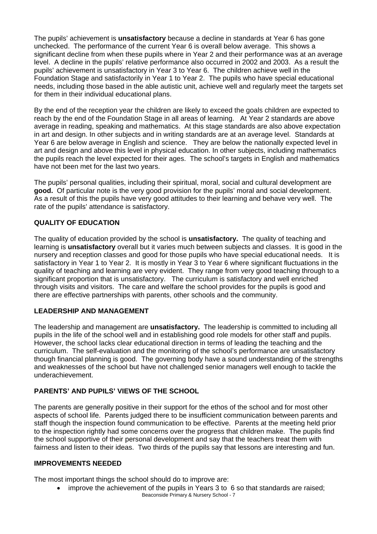The pupils' achievement is **unsatisfactory** because a decline in standards at Year 6 has gone unchecked. The performance of the current Year 6 is overall below average. This shows a significant decline from when these pupils where in Year 2 and their performance was at an average level. A decline in the pupils' relative performance also occurred in 2002 and 2003. As a result the pupils' achievement is unsatisfactory in Year 3 to Year 6. The children achieve well in the Foundation Stage and satisfactorily in Year 1 to Year 2. The pupils who have special educational needs, including those based in the able autistic unit, achieve well and regularly meet the targets set for them in their individual educational plans.

By the end of the reception year the children are likely to exceed the goals children are expected to reach by the end of the Foundation Stage in all areas of learning. At Year 2 standards are above average in reading, speaking and mathematics. At this stage standards are also above expectation in art and design. In other subjects and in writing standards are at an average level. Standards at Year 6 are below average in English and science. They are below the nationally expected level in art and design and above this level in physical education. In other subjects, including mathematics the pupils reach the level expected for their ages. The school's targets in English and mathematics have not been met for the last two years.

The pupils' personal qualities, including their spiritual, moral, social and cultural development are **good.** Of particular note is the very good provision for the pupils' moral and social development. As a result of this the pupils have very good attitudes to their learning and behave very well. The rate of the pupils' attendance is satisfactory.

## **QUALITY OF EDUCATION**

The quality of education provided by the school is **unsatisfactory.** The quality of teaching and learning is **unsatisfactory** overall but it varies much between subjects and classes. It is good in the nursery and reception classes and good for those pupils who have special educational needs.It is satisfactory in Year 1 to Year 2. It is mostly in Year 3 to Year 6 where significant fluctuations in the quality of teaching and learning are very evident. They range from very good teaching through to a significant proportion that is unsatisfactory. The curriculum is satisfactory and well enriched through visits and visitors. The care and welfare the school provides for the pupils is good and there are effective partnerships with parents, other schools and the community.

## **LEADERSHIP AND MANAGEMENT**

The leadership and management are **unsatisfactory.** The leadership is committed to including all pupils in the life of the school well and in establishing good role models for other staff and pupils. However, the school lacks clear educational direction in terms of leading the teaching and the curriculum. The self-evaluation and the monitoring of the school's performance are unsatisfactory though financial planning is good. The governing body have a sound understanding of the strengths and weaknesses of the school but have not challenged senior managers well enough to tackle the underachievement.

# **PARENTS' AND PUPILS' VIEWS OF THE SCHOOL**

The parents are generally positive in their support for the ethos of the school and for most other aspects of school life. Parents judged there to be insufficient communication between parents and staff though the inspection found communication to be effective. Parents at the meeting held prior to the inspection rightly had some concerns over the progress that children make. The pupils find the school supportive of their personal development and say that the teachers treat them with fairness and listen to their ideas. Two thirds of the pupils say that lessons are interesting and fun.

## **IMPROVEMENTS NEEDED**

The most important things the school should do to improve are:

Beaconside Primary & Nursery School - 7 • improve the achievement of the pupils in Years 3 to 6 so that standards are raised;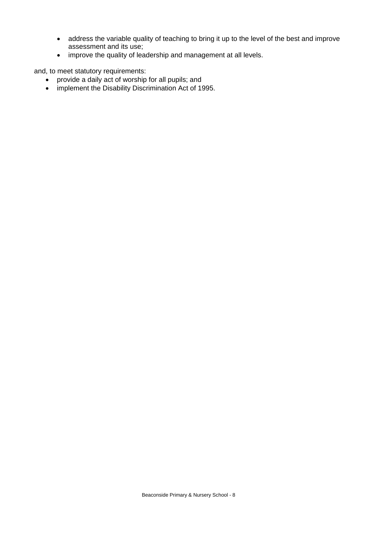- address the variable quality of teaching to bring it up to the level of the best and improve assessment and its use;
- improve the quality of leadership and management at all levels.

and, to meet statutory requirements:

- provide a daily act of worship for all pupils; and
- implement the Disability Discrimination Act of 1995.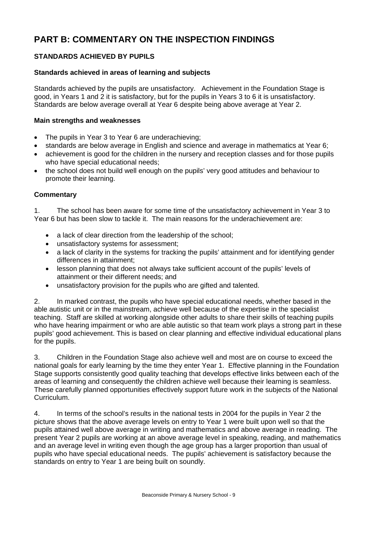# **PART B: COMMENTARY ON THE INSPECTION FINDINGS**

# **STANDARDS ACHIEVED BY PUPILS**

## **Standards achieved in areas of learning and subjects**

Standards achieved by the pupils are unsatisfactory. Achievement in the Foundation Stage is good, in Years 1 and 2 it is satisfactory, but for the pupils in Years 3 to 6 it is unsatisfactory. Standards are below average overall at Year 6 despite being above average at Year 2.

## **Main strengths and weaknesses**

- The pupils in Year 3 to Year 6 are underachieving;
- standards are below average in English and science and average in mathematics at Year 6;
- achievement is good for the children in the nursery and reception classes and for those pupils who have special educational needs;
- the school does not build well enough on the pupils' very good attitudes and behaviour to promote their learning.

## **Commentary**

1. The school has been aware for some time of the unsatisfactory achievement in Year 3 to Year 6 but has been slow to tackle it. The main reasons for the underachievement are:

- a lack of clear direction from the leadership of the school;
- unsatisfactory systems for assessment;
- a lack of clarity in the systems for tracking the pupils' attainment and for identifying gender differences in attainment;
- lesson planning that does not always take sufficient account of the pupils' levels of attainment or their different needs; and
- unsatisfactory provision for the pupils who are gifted and talented.

2. In marked contrast, the pupils who have special educational needs, whether based in the able autistic unit or in the mainstream, achieve well because of the expertise in the specialist teaching. Staff are skilled at working alongside other adults to share their skills of teaching pupils who have hearing impairment or who are able autistic so that team work plays a strong part in these pupils' good achievement. This is based on clear planning and effective individual educational plans for the pupils.

3. Children in the Foundation Stage also achieve well and most are on course to exceed the national goals for early learning by the time they enter Year 1. Effective planning in the Foundation Stage supports consistently good quality teaching that develops effective links between each of the areas of learning and consequently the children achieve well because their learning is seamless. These carefully planned opportunities effectively support future work in the subjects of the National Curriculum.

4. In terms of the school's results in the national tests in 2004 for the pupils in Year 2 the picture shows that the above average levels on entry to Year 1 were built upon well so that the pupils attained well above average in writing and mathematics and above average in reading. The present Year 2 pupils are working at an above average level in speaking, reading, and mathematics and an average level in writing even though the age group has a larger proportion than usual of pupils who have special educational needs. The pupils' achievement is satisfactory because the standards on entry to Year 1 are being built on soundly.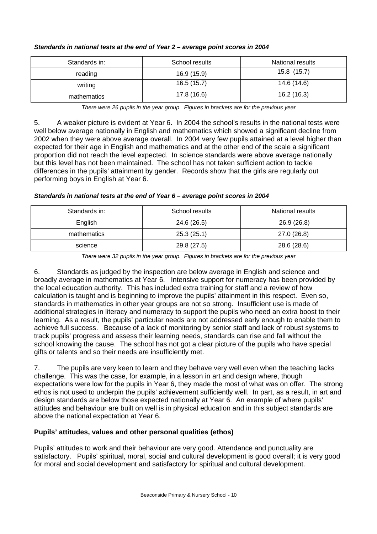| Standards in: | School results | National results |
|---------------|----------------|------------------|
| reading       | 16.9 (15.9)    | 15.8 (15.7)      |
| writing       | 16.5(15.7)     | 14.6 (14.6)      |
| mathematics   | 17.8(16.6)     | 16.2(16.3)       |

#### *Standards in national tests at the end of Year 2 – average point scores in 2004*

*There were 26 pupils in the year group. Figures in brackets are for the previous year* 

5. A weaker picture is evident at Year 6. In 2004 the school's results in the national tests were well below average nationally in English and mathematics which showed a significant decline from 2002 when they were above average overall. In 2004 very few pupils attained at a level higher than expected for their age in English and mathematics and at the other end of the scale a significant proportion did not reach the level expected. In science standards were above average nationally but this level has not been maintained. The school has not taken sufficient action to tackle differences in the pupils' attainment by gender. Records show that the girls are regularly out performing boys in English at Year 6.

#### *Standards in national tests at the end of Year 6 – average point scores in 2004*

| Standards in: | School results | National results |
|---------------|----------------|------------------|
| English       | 24.6 (26.5)    | 26.9(26.8)       |
| mathematics   | 25.3(25.1)     | 27.0(26.8)       |
| science       | 29.8 (27.5)    | 28.6 (28.6)      |

*There were 32 pupils in the year group. Figures in brackets are for the previous year* 

6. Standards as judged by the inspection are below average in English and science and broadly average in mathematics at Year 6. Intensive support for numeracy has been provided by the local education authority. This has included extra training for staff and a review of how calculation is taught and is beginning to improve the pupils' attainment in this respect. Even so, standards in mathematics in other year groups are not so strong. Insufficient use is made of additional strategies in literacy and numeracy to support the pupils who need an extra boost to their learning. As a result, the pupils' particular needs are not addressed early enough to enable them to achieve full success. Because of a lack of monitoring by senior staff and lack of robust systems to track pupils' progress and assess their learning needs, standards can rise and fall without the school knowing the cause. The school has not got a clear picture of the pupils who have special gifts or talents and so their needs are insufficiently met.

7. The pupils are very keen to learn and they behave very well even when the teaching lacks challenge. This was the case, for example, in a lesson in art and design where, though expectations were low for the pupils in Year 6, they made the most of what was on offer. The strong ethos is not used to underpin the pupils' achievement sufficiently well. In part, as a result, in art and design standards are below those expected nationally at Year 6. An example of where pupils' attitudes and behaviour are built on well is in physical education and in this subject standards are above the national expectation at Year 6.

# **Pupils' attitudes, values and other personal qualities (ethos)**

Pupils' attitudes to work and their behaviour are very good. Attendance and punctuality are satisfactory. Pupils' spiritual, moral, social and cultural development is good overall; it is very good for moral and social development and satisfactory for spiritual and cultural development.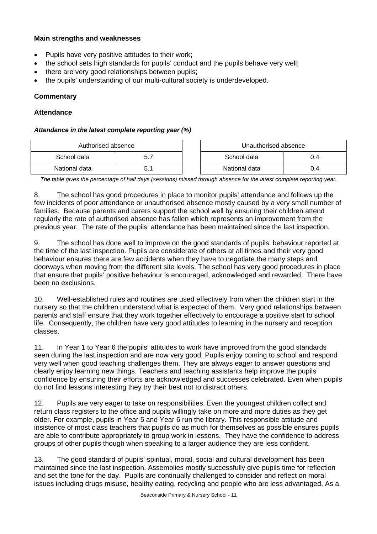## **Main strengths and weaknesses**

- Pupils have very positive attitudes to their work;
- the school sets high standards for pupils' conduct and the pupils behave very well;
- there are very good relationships between pupils;
- the pupils' understanding of our multi-cultural society is underdeveloped.

## **Commentary**

## **Attendance**

#### *Attendance in the latest complete reporting year (%)*

| Authorised absence |    | Unauthorised absence |     |
|--------------------|----|----------------------|-----|
| School data        |    | School data          | J.4 |
| National data      | 5. | National data        | 0.4 |

*The table gives the percentage of half days (sessions) missed through absence for the latest complete reporting year.*

8. The school has good procedures in place to monitor pupils' attendance and follows up the few incidents of poor attendance or unauthorised absence mostly caused by a very small number of families. Because parents and carers support the school well by ensuring their children attend regularly the rate of authorised absence has fallen which represents an improvement from the previous year. The rate of the pupils' attendance has been maintained since the last inspection.

9. The school has done well to improve on the good standards of pupils' behaviour reported at the time of the last inspection. Pupils are considerate of others at all times and their very good behaviour ensures there are few accidents when they have to negotiate the many steps and doorways when moving from the different site levels. The school has very good procedures in place that ensure that pupils' positive behaviour is encouraged, acknowledged and rewarded. There have been no exclusions.

10. Well-established rules and routines are used effectively from when the children start in the nursery so that the children understand what is expected of them. Very good relationships between parents and staff ensure that they work together effectively to encourage a positive start to school life. Consequently, the children have very good attitudes to learning in the nursery and reception classes.

11. In Year 1 to Year 6 the pupils' attitudes to work have improved from the good standards seen during the last inspection and are now very good. Pupils enjoy coming to school and respond very well when good teaching challenges them. They are always eager to answer questions and clearly enjoy learning new things. Teachers and teaching assistants help improve the pupils' confidence by ensuring their efforts are acknowledged and successes celebrated. Even when pupils do not find lessons interesting they try their best not to distract others.

12. Pupils are very eager to take on responsibilities. Even the youngest children collect and return class registers to the office and pupils willingly take on more and more duties as they get older. For example, pupils in Year 5 and Year 6 run the library. This responsible attitude and insistence of most class teachers that pupils do as much for themselves as possible ensures pupils are able to contribute appropriately to group work in lessons. They have the confidence to address groups of other pupils though when speaking to a larger audience they are less confident.

13. The good standard of pupils' spiritual, moral, social and cultural development has been maintained since the last inspection. Assemblies mostly successfully give pupils time for reflection and set the tone for the day. Pupils are continually challenged to consider and reflect on moral issues including drugs misuse, healthy eating, recycling and people who are less advantaged. As a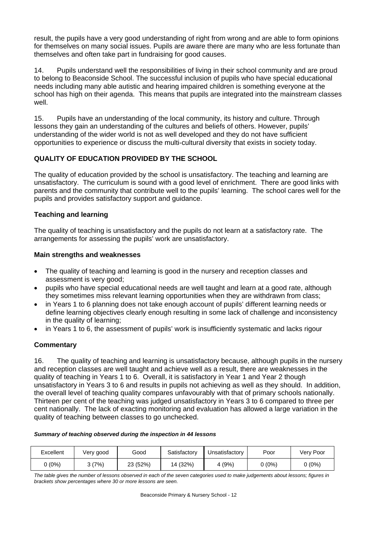result, the pupils have a very good understanding of right from wrong and are able to form opinions for themselves on many social issues. Pupils are aware there are many who are less fortunate than themselves and often take part in fundraising for good causes.

14. Pupils understand well the responsibilities of living in their school community and are proud to belong to Beaconside School. The successful inclusion of pupils who have special educational needs including many able autistic and hearing impaired children is something everyone at the school has high on their agenda. This means that pupils are integrated into the mainstream classes well.

15. Pupils have an understanding of the local community, its history and culture. Through lessons they gain an understanding of the cultures and beliefs of others. However, pupils' understanding of the wider world is not as well developed and they do not have sufficient opportunities to experience or discuss the multi-cultural diversity that exists in society today.

# **QUALITY OF EDUCATION PROVIDED BY THE SCHOOL**

The quality of education provided by the school is unsatisfactory. The teaching and learning are unsatisfactory. The curriculum is sound with a good level of enrichment. There are good links with parents and the community that contribute well to the pupils' learning. The school cares well for the pupils and provides satisfactory support and guidance.

# **Teaching and learning**

The quality of teaching is unsatisfactory and the pupils do not learn at a satisfactory rate. The arrangements for assessing the pupils' work are unsatisfactory.

## **Main strengths and weaknesses**

- The quality of teaching and learning is good in the nursery and reception classes and assessment is very good;
- pupils who have special educational needs are well taught and learn at a good rate, although they sometimes miss relevant learning opportunities when they are withdrawn from class;
- in Years 1 to 6 planning does not take enough account of pupils' different learning needs or define learning objectives clearly enough resulting in some lack of challenge and inconsistency in the quality of learning;
- in Years 1 to 6, the assessment of pupils' work is insufficiently systematic and lacks rigour

# **Commentary**

16. The quality of teaching and learning is unsatisfactory because, although pupils in the nursery and reception classes are well taught and achieve well as a result, there are weaknesses in the quality of teaching in Years 1 to 6. Overall, it is satisfactory in Year 1 and Year 2 though unsatisfactory in Years 3 to 6 and results in pupils not achieving as well as they should. In addition, the overall level of teaching quality compares unfavourably with that of primary schools nationally. Thirteen per cent of the teaching was judged unsatisfactory in Years 3 to 6 compared to three per cent nationally. The lack of exacting monitoring and evaluation has allowed a large variation in the quality of teaching between classes to go unchecked.

#### *Summary of teaching observed during the inspection in 44 lessons*

| Excellent | Very good | Good     | Satisfactory | Unsatisfactory | Poor   | Very Poor |
|-----------|-----------|----------|--------------|----------------|--------|-----------|
| ) (0%)    | კ (7%)    | 23 (52%) | 14 (32%)     | 4 (9%)         | ጋ (ዐ%) | 0 (0%)    |

*The table gives the number of lessons observed in each of the seven categories used to make judgements about lessons; figures in brackets show percentages where 30 or more lessons are seen.*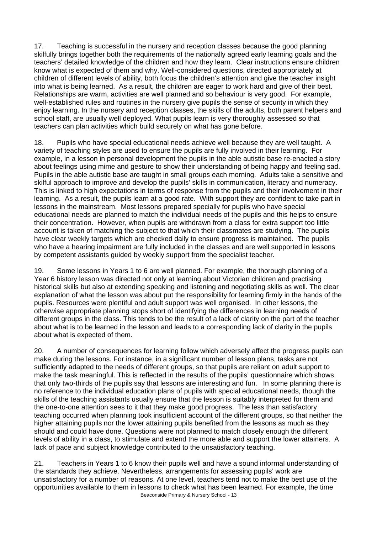17. Teaching is successful in the nursery and reception classes because the good planning skilfully brings together both the requirements of the nationally agreed early learning goals and the teachers' detailed knowledge of the children and how they learn. Clear instructions ensure children know what is expected of them and why. Well-considered questions, directed appropriately at children of different levels of ability, both focus the children's attention and give the teacher insight into what is being learned. As a result, the children are eager to work hard and give of their best. Relationships are warm, activities are well planned and so behaviour is very good. For example, well-established rules and routines in the nursery give pupils the sense of security in which they enjoy learning. In the nursery and reception classes, the skills of the adults, both parent helpers and school staff, are usually well deployed. What pupils learn is very thoroughly assessed so that teachers can plan activities which build securely on what has gone before.

18. Pupils who have special educational needs achieve well because they are well taught. A variety of teaching styles are used to ensure the pupils are fully involved in their learning. For example, in a lesson in personal development the pupils in the able autistic base re-enacted a story about feelings using mime and gesture to show their understanding of being happy and feeling sad. Pupils in the able autistic base are taught in small groups each morning. Adults take a sensitive and skilful approach to improve and develop the pupils' skills in communication, literacy and numeracy. This is linked to high expectations in terms of response from the pupils and their involvement in their learning. As a result, the pupils learn at a good rate. With support they are confident to take part in lessons in the mainstream. Most lessons prepared specially for pupils who have special educational needs are planned to match the individual needs of the pupils and this helps to ensure their concentration. However, when pupils are withdrawn from a class for extra support too little account is taken of matching the subject to that which their classmates are studying. The pupils have clear weekly targets which are checked daily to ensure progress is maintained. The pupils who have a hearing impairment are fully included in the classes and are well supported in lessons by competent assistants guided by weekly support from the specialist teacher.

19. Some lessons in Years 1 to 6 are well planned. For example, the thorough planning of a Year 6 history lesson was directed not only at learning about Victorian children and practising historical skills but also at extending speaking and listening and negotiating skills as well. The clear explanation of what the lesson was about put the responsibility for learning firmly in the hands of the pupils. Resources were plentiful and adult support was well organised. In other lessons, the otherwise appropriate planning stops short of identifying the differences in learning needs of different groups in the class. This tends to be the result of a lack of clarity on the part of the teacher about what is to be learned in the lesson and leads to a corresponding lack of clarity in the pupils about what is expected of them.

20. A number of consequences for learning follow which adversely affect the progress pupils can make during the lessons. For instance, in a significant number of lesson plans, tasks are not sufficiently adapted to the needs of different groups, so that pupils are reliant on adult support to make the task meaningful. This is reflected in the results of the pupils' questionnaire which shows that only two-thirds of the pupils say that lessons are interesting and fun. In some planning there is no reference to the individual education plans of pupils with special educational needs, though the skills of the teaching assistants usually ensure that the lesson is suitably interpreted for them and the one-to-one attention sees to it that they make good progress. The less than satisfactory teaching occurred when planning took insufficient account of the different groups, so that neither the higher attaining pupils nor the lower attaining pupils benefited from the lessons as much as they should and could have done. Questions were not planned to match closely enough the different levels of ability in a class, to stimulate and extend the more able and support the lower attainers. A lack of pace and subject knowledge contributed to the unsatisfactory teaching.

Beaconside Primary & Nursery School - 13 21. Teachers in Years 1 to 6 know their pupils well and have a sound informal understanding of the standards they achieve. Nevertheless, arrangements for assessing pupils' work are unsatisfactory for a number of reasons. At one level, teachers tend not to make the best use of the opportunities available to them in lessons to check what has been learned. For example, the time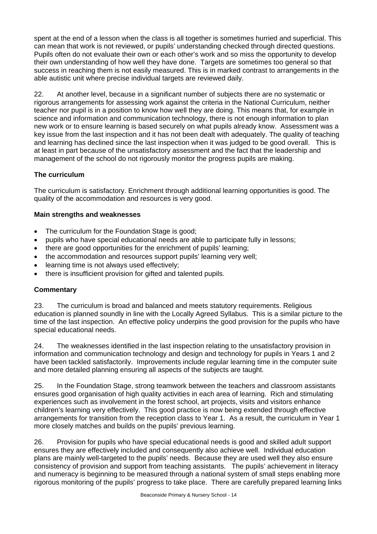spent at the end of a lesson when the class is all together is sometimes hurried and superficial. This can mean that work is not reviewed, or pupils' understanding checked through directed questions. Pupils often do not evaluate their own or each other's work and so miss the opportunity to develop their own understanding of how well they have done. Targets are sometimes too general so that success in reaching them is not easily measured. This is in marked contrast to arrangements in the able autistic unit where precise individual targets are reviewed daily.

22. At another level, because in a significant number of subjects there are no systematic or rigorous arrangements for assessing work against the criteria in the National Curriculum, neither teacher nor pupil is in a position to know how well they are doing. This means that, for example in science and information and communication technology, there is not enough information to plan new work or to ensure learning is based securely on what pupils already know. Assessment was a key issue from the last inspection and it has not been dealt with adequately. The quality of teaching and learning has declined since the last inspection when it was judged to be good overall. This is at least in part because of the unsatisfactory assessment and the fact that the leadership and management of the school do not rigorously monitor the progress pupils are making.

# **The curriculum**

The curriculum is satisfactory. Enrichment through additional learning opportunities is good. The quality of the accommodation and resources is very good.

## **Main strengths and weaknesses**

- The curriculum for the Foundation Stage is good:
- pupils who have special educational needs are able to participate fully in lessons;
- there are good opportunities for the enrichment of pupils' learning;
- the accommodation and resources support pupils' learning very well;
- learning time is not always used effectively;
- there is insufficient provision for gifted and talented pupils.

## **Commentary**

23. The curriculum is broad and balanced and meets statutory requirements. Religious education is planned soundly in line with the Locally Agreed Syllabus. This is a similar picture to the time of the last inspection. An effective policy underpins the good provision for the pupils who have special educational needs.

24. The weaknesses identified in the last inspection relating to the unsatisfactory provision in information and communication technology and design and technology for pupils in Years 1 and 2 have been tackled satisfactorily. Improvements include regular learning time in the computer suite and more detailed planning ensuring all aspects of the subjects are taught.

25. In the Foundation Stage, strong teamwork between the teachers and classroom assistants ensures good organisation of high quality activities in each area of learning. Rich and stimulating experiences such as involvement in the forest school, art projects, visits and visitors enhance children's learning very effectively. This good practice is now being extended through effective arrangements for transition from the reception class to Year 1. As a result, the curriculum in Year 1 more closely matches and builds on the pupils' previous learning.

26. Provision for pupils who have special educational needs is good and skilled adult support ensures they are effectively included and consequently also achieve well. Individual education plans are mainly well-targeted to the pupils' needs. Because they are used well they also ensure consistency of provision and support from teaching assistants. The pupils' achievement in literacy and numeracy is beginning to be measured through a national system of small steps enabling more rigorous monitoring of the pupils' progress to take place. There are carefully prepared learning links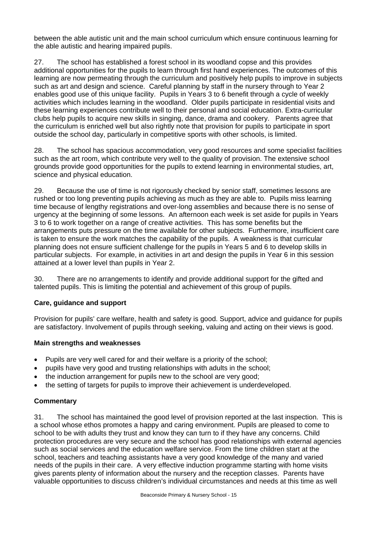between the able autistic unit and the main school curriculum which ensure continuous learning for the able autistic and hearing impaired pupils.

27. The school has established a forest school in its woodland copse and this provides additional opportunities for the pupils to learn through first hand experiences. The outcomes of this learning are now permeating through the curriculum and positively help pupils to improve in subjects such as art and design and science. Careful planning by staff in the nursery through to Year 2 enables good use of this unique facility. Pupils in Years 3 to 6 benefit through a cycle of weekly activities which includes learning in the woodland. Older pupils participate in residential visits and these learning experiences contribute well to their personal and social education. Extra-curricular clubs help pupils to acquire new skills in singing, dance, drama and cookery. Parents agree that the curriculum is enriched well but also rightly note that provision for pupils to participate in sport outside the school day, particularly in competitive sports with other schools, is limited.

28. The school has spacious accommodation, very good resources and some specialist facilities such as the art room, which contribute very well to the quality of provision. The extensive school grounds provide good opportunities for the pupils to extend learning in environmental studies, art, science and physical education.

29. Because the use of time is not rigorously checked by senior staff, sometimes lessons are rushed or too long preventing pupils achieving as much as they are able to. Pupils miss learning time because of lengthy registrations and over-long assemblies and because there is no sense of urgency at the beginning of some lessons. An afternoon each week is set aside for pupils in Years 3 to 6 to work together on a range of creative activities. This has some benefits but the arrangements puts pressure on the time available for other subjects. Furthermore, insufficient care is taken to ensure the work matches the capability of the pupils. A weakness is that curricular planning does not ensure sufficient challenge for the pupils in Years 5 and 6 to develop skills in particular subjects. For example, in activities in art and design the pupils in Year 6 in this session attained at a lower level than pupils in Year 2.

30. There are no arrangements to identify and provide additional support for the gifted and talented pupils. This is limiting the potential and achievement of this group of pupils.

# **Care, guidance and support**

Provision for pupils' care welfare, health and safety is good. Support, advice and guidance for pupils are satisfactory. Involvement of pupils through seeking, valuing and acting on their views is good.

## **Main strengths and weaknesses**

- Pupils are very well cared for and their welfare is a priority of the school;
- pupils have very good and trusting relationships with adults in the school;
- the induction arrangement for pupils new to the school are very good;
- the setting of targets for pupils to improve their achievement is underdeveloped.

## **Commentary**

31. The school has maintained the good level of provision reported at the last inspection. This is a school whose ethos promotes a happy and caring environment. Pupils are pleased to come to school to be with adults they trust and know they can turn to if they have any concerns. Child protection procedures are very secure and the school has good relationships with external agencies such as social services and the education welfare service. From the time children start at the school, teachers and teaching assistants have a very good knowledge of the many and varied needs of the pupils in their care. A very effective induction programme starting with home visits gives parents plenty of information about the nursery and the reception classes. Parents have valuable opportunities to discuss children's individual circumstances and needs at this time as well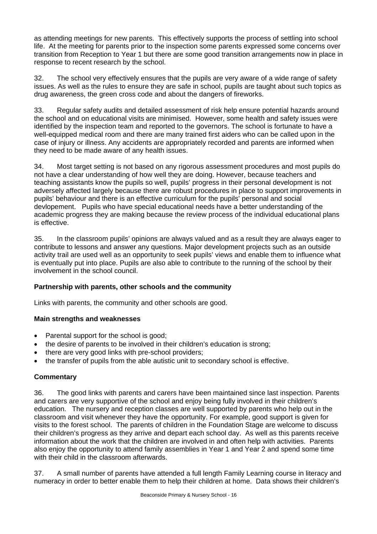as attending meetings for new parents. This effectively supports the process of settling into school life. At the meeting for parents prior to the inspection some parents expressed some concerns over transition from Reception to Year 1 but there are some good transition arrangements now in place in response to recent research by the school.

32. The school very effectively ensures that the pupils are very aware of a wide range of safety issues. As well as the rules to ensure they are safe in school, pupils are taught about such topics as drug awareness, the green cross code and about the dangers of fireworks.

33. Regular safety audits and detailed assessment of risk help ensure potential hazards around the school and on educational visits are minimised. However, some health and safety issues were identified by the inspection team and reported to the governors. The school is fortunate to have a well-equipped medical room and there are many trained first aiders who can be called upon in the case of injury or illness. Any accidents are appropriately recorded and parents are informed when they need to be made aware of any health issues.

34. Most target setting is not based on any rigorous assessment procedures and most pupils do not have a clear understanding of how well they are doing. However, because teachers and teaching assistants know the pupils so well, pupils' progress in their personal development is not adversely affected largely because there are robust procedures in place to support improvements in pupils' behaviour and there is an effective curriculum for the pupils' personal and social devlopement. Pupils who have special educational needs have a better understanding of the academic progress they are making because the review process of the individual educational plans is effective.

35. In the classroom pupils' opinions are always valued and as a result they are always eager to contribute to lessons and answer any questions. Major development projects such as an outside activity trail are used well as an opportunity to seek pupils' views and enable them to influence what is eventually put into place. Pupils are also able to contribute to the running of the school by their involvement in the school council.

# **Partnership with parents, other schools and the community**

Links with parents, the community and other schools are good.

# **Main strengths and weaknesses**

- Parental support for the school is good;
- the desire of parents to be involved in their children's education is strong;
- there are very good links with pre-school providers;
- the transfer of pupils from the able autistic unit to secondary school is effective.

# **Commentary**

36. The good links with parents and carers have been maintained since last inspection. Parents and carers are very supportive of the school and enjoy being fully involved in their children's education. The nursery and reception classes are well supported by parents who help out in the classroom and visit whenever they have the opportunity. For example, good support is given for visits to the forest school. The parents of children in the Foundation Stage are welcome to discuss their children's progress as they arrive and depart each school day. As well as this parents receive information about the work that the children are involved in and often help with activities. Parents also enjoy the opportunity to attend family assemblies in Year 1 and Year 2 and spend some time with their child in the classroom afterwards.

37. A small number of parents have attended a full length Family Learning course in literacy and numeracy in order to better enable them to help their children at home. Data shows their children's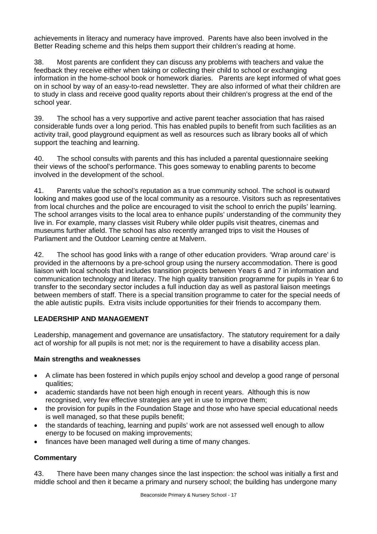achievements in literacy and numeracy have improved. Parents have also been involved in the Better Reading scheme and this helps them support their children's reading at home.

38. Most parents are confident they can discuss any problems with teachers and value the feedback they receive either when taking or collecting their child to school or exchanging information in the home-school book or homework diaries. Parents are kept informed of what goes on in school by way of an easy-to-read newsletter. They are also informed of what their children are to study in class and receive good quality reports about their children's progress at the end of the school year.

39. The school has a very supportive and active parent teacher association that has raised considerable funds over a long period. This has enabled pupils to benefit from such facilities as an activity trail, good playground equipment as well as resources such as library books all of which support the teaching and learning.

40. The school consults with parents and this has included a parental questionnaire seeking their views of the school's performance. This goes someway to enabling parents to become involved in the development of the school.

41. Parents value the school's reputation as a true community school. The school is outward looking and makes good use of the local community as a resource. Visitors such as representatives from local churches and the police are encouraged to visit the school to enrich the pupils' learning. The school arranges visits to the local area to enhance pupils' understanding of the community they live in. For example, many classes visit Rubery while older pupils visit theatres, cinemas and museums further afield. The school has also recently arranged trips to visit the Houses of Parliament and the Outdoor Learning centre at Malvern.

42. The school has good links with a range of other education providers. 'Wrap around care' is provided in the afternoons by a pre-school group using the nursery accommodation. There is good liaison with local schools that includes transition projects between Years 6 and 7 in information and communication technology and literacy. The high quality transition programme for pupils in Year 6 to transfer to the secondary sector includes a full induction day as well as pastoral liaison meetings between members of staff. There is a special transition programme to cater for the special needs of the able autistic pupils. Extra visits include opportunities for their friends to accompany them.

# **LEADERSHIP AND MANAGEMENT**

Leadership, management and governance are unsatisfactory. The statutory requirement for a daily act of worship for all pupils is not met; nor is the requirement to have a disability access plan.

## **Main strengths and weaknesses**

- A climate has been fostered in which pupils enjoy school and develop a good range of personal qualities;
- academic standards have not been high enough in recent years. Although this is now recognised, very few effective strategies are yet in use to improve them;
- the provision for pupils in the Foundation Stage and those who have special educational needs is well managed, so that these pupils benefit;
- the standards of teaching, learning and pupils' work are not assessed well enough to allow energy to be focused on making improvements;
- finances have been managed well during a time of many changes.

## **Commentary**

43. There have been many changes since the last inspection: the school was initially a first and middle school and then it became a primary and nursery school; the building has undergone many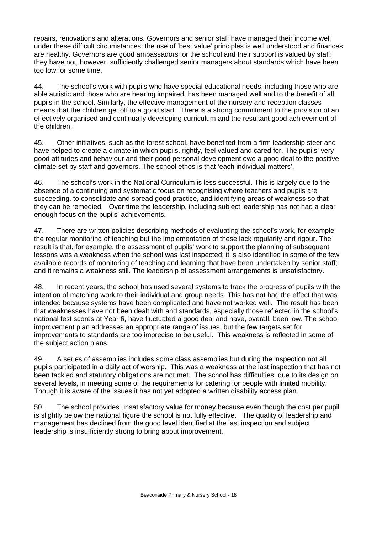repairs, renovations and alterations. Governors and senior staff have managed their income well under these difficult circumstances; the use of 'best value' principles is well understood and finances are healthy. Governors are good ambassadors for the school and their support is valued by staff; they have not, however, sufficiently challenged senior managers about standards which have been too low for some time.

44. The school's work with pupils who have special educational needs, including those who are able autistic and those who are hearing impaired, has been managed well and to the benefit of all pupils in the school. Similarly, the effective management of the nursery and reception classes means that the children get off to a good start. There is a strong commitment to the provision of an effectively organised and continually developing curriculum and the resultant good achievement of the children.

45. Other initiatives, such as the forest school, have benefited from a firm leadership steer and have helped to create a climate in which pupils, rightly, feel valued and cared for. The pupils' very good attitudes and behaviour and their good personal development owe a good deal to the positive climate set by staff and governors. The school ethos is that 'each individual matters'.

46. The school's work in the National Curriculum is less successful. This is largely due to the absence of a continuing and systematic focus on recognising where teachers and pupils are succeeding, to consolidate and spread good practice, and identifying areas of weakness so that they can be remedied. Over time the leadership, including subject leadership has not had a clear enough focus on the pupils' achievements.

47. There are written policies describing methods of evaluating the school's work, for example the regular monitoring of teaching but the implementation of these lack regularity and rigour. The result is that, for example, the assessment of pupils' work to support the planning of subsequent lessons was a weakness when the school was last inspected; it is also identified in some of the few available records of monitoring of teaching and learning that have been undertaken by senior staff; and it remains a weakness still. The leadership of assessment arrangements is unsatisfactory.

48. In recent years, the school has used several systems to track the progress of pupils with the intention of matching work to their individual and group needs. This has not had the effect that was intended because systems have been complicated and have not worked well. The result has been that weaknesses have not been dealt with and standards, especially those reflected in the school's national test scores at Year 6, have fluctuated a good deal and have, overall, been low. The school improvement plan addresses an appropriate range of issues, but the few targets set for improvements to standards are too imprecise to be useful. This weakness is reflected in some of the subject action plans.

49. A series of assemblies includes some class assemblies but during the inspection not all pupils participated in a daily act of worship. This was a weakness at the last inspection that has not been tackled and statutory obligations are not met. The school has difficulties, due to its design on several levels, in meeting some of the requirements for catering for people with limited mobility. Though it is aware of the issues it has not yet adopted a written disability access plan.

50. The school provides unsatisfactory value for money because even though the cost per pupil is slightly below the national figure the school is not fully effective. The quality of leadership and management has declined from the good level identified at the last inspection and subject leadership is insufficiently strong to bring about improvement.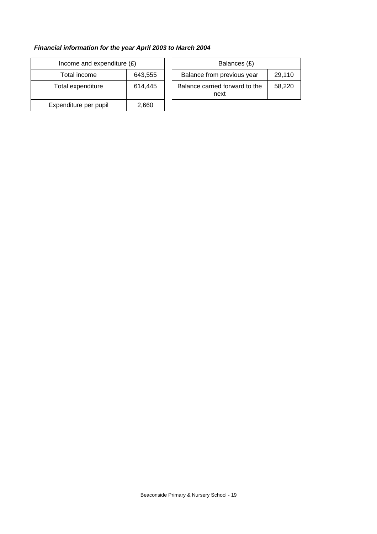# *Financial information for the year April 2003 to March 2004*

| Income and expenditure $(E)$ |         | Balances (£)                           |
|------------------------------|---------|----------------------------------------|
| Total income                 | 643,555 | Balance from previous year             |
| Total expenditure            | 614,445 | Balance carried forward to the<br>next |
| Expenditure per pupil        | 2,660   |                                        |

| ncome and expenditure $(E)$ |         | Balances (£)                           |        |
|-----------------------------|---------|----------------------------------------|--------|
| Total income                | 643.555 | Balance from previous year             | 29.110 |
| tal expenditure             | 614.445 | Balance carried forward to the<br>next | 58.220 |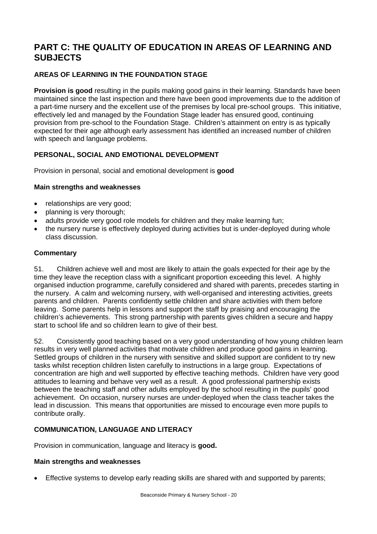# **PART C: THE QUALITY OF EDUCATION IN AREAS OF LEARNING AND SUBJECTS**

# **AREAS OF LEARNING IN THE FOUNDATION STAGE**

**Provision is good** resulting in the pupils making good gains in their learning. Standards have been maintained since the last inspection and there have been good improvements due to the addition of a part-time nursery and the excellent use of the premises by local pre-school groups. This initiative, effectively led and managed by the Foundation Stage leader has ensured good, continuing provision from pre-school to the Foundation Stage. Children's attainment on entry is as typically expected for their age although early assessment has identified an increased number of children with speech and language problems.

## **PERSONAL, SOCIAL AND EMOTIONAL DEVELOPMENT**

Provision in personal, social and emotional development is **good** 

#### **Main strengths and weaknesses**

- relationships are very good;
- planning is very thorough;
- adults provide very good role models for children and they make learning fun;
- the nursery nurse is effectively deployed during activities but is under-deployed during whole class discussion.

#### **Commentary**

51. Children achieve well and most are likely to attain the goals expected for their age by the time they leave the reception class with a significant proportion exceeding this level. A highly organised induction programme, carefully considered and shared with parents, precedes starting in the nursery. A calm and welcoming nursery, with well-organised and interesting activities, greets parents and children. Parents confidently settle children and share activities with them before leaving. Some parents help in lessons and support the staff by praising and encouraging the children's achievements. This strong partnership with parents gives children a secure and happy start to school life and so children learn to give of their best.

52. Consistently good teaching based on a very good understanding of how young children learn results in very well planned activities that motivate children and produce good gains in learning. Settled groups of children in the nursery with sensitive and skilled support are confident to try new tasks whilst reception children listen carefully to instructions in a large group. Expectations of concentration are high and well supported by effective teaching methods. Children have very good attitudes to learning and behave very well as a result. A good professional partnership exists between the teaching staff and other adults employed by the school resulting in the pupils' good achievement. On occasion, nursery nurses are under-deployed when the class teacher takes the lead in discussion. This means that opportunities are missed to encourage even more pupils to contribute orally.

## **COMMUNICATION, LANGUAGE AND LITERACY**

Provision in communication, language and literacy is **good.** 

## **Main strengths and weaknesses**

• Effective systems to develop early reading skills are shared with and supported by parents;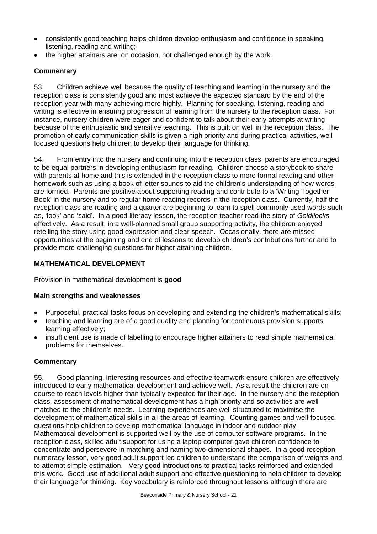- consistently good teaching helps children develop enthusiasm and confidence in speaking, listening, reading and writing;
- the higher attainers are, on occasion, not challenged enough by the work.

## **Commentary**

53. Children achieve well because the quality of teaching and learning in the nursery and the reception class is consistently good and most achieve the expected standard by the end of the reception year with many achieving more highly. Planning for speaking, listening, reading and writing is effective in ensuring progression of learning from the nursery to the reception class. For instance, nursery children were eager and confident to talk about their early attempts at writing because of the enthusiastic and sensitive teaching. This is built on well in the reception class. The promotion of early communication skills is given a high priority and during practical activities, well focused questions help children to develop their language for thinking.

54. From entry into the nursery and continuing into the reception class, parents are encouraged to be equal partners in developing enthusiasm for reading. Children choose a storybook to share with parents at home and this is extended in the reception class to more formal reading and other homework such as using a book of letter sounds to aid the children's understanding of how words are formed. Parents are positive about supporting reading and contribute to a 'Writing Together Book' in the nursery and to regular home reading records in the reception class. Currently, half the reception class are reading and a quarter are beginning to learn to spell commonly used words such as, 'look' and 'said'. In a good literacy lesson, the reception teacher read the story of *Goldilocks* effectively. As a result, in a well-planned small group supporting activity, the children enjoyed retelling the story using good expression and clear speech. Occasionally, there are missed opportunities at the beginning and end of lessons to develop children's contributions further and to provide more challenging questions for higher attaining children.

## **MATHEMATICAL DEVELOPMENT**

Provision in mathematical development is **good** 

## **Main strengths and weaknesses**

- Purposeful, practical tasks focus on developing and extending the children's mathematical skills;
- teaching and learning are of a good quality and planning for continuous provision supports learning effectively;
- insufficient use is made of labelling to encourage higher attainers to read simple mathematical problems for themselves.

## **Commentary**

55. Good planning, interesting resources and effective teamwork ensure children are effectively introduced to early mathematical development and achieve well. As a result the children are on course to reach levels higher than typically expected for their age. In the nursery and the reception class, assessment of mathematical development has a high priority and so activities are well matched to the children's needs. Learning experiences are well structured to maximise the development of mathematical skills in all the areas of learning. Counting games and well-focused questions help children to develop mathematical language in indoor and outdoor play. Mathematical development is supported well by the use of computer software programs. In the reception class, skilled adult support for using a laptop computer gave children confidence to concentrate and persevere in matching and naming two-dimensional shapes. In a good reception numeracy lesson, very good adult support led children to understand the comparison of weights and to attempt simple estimation. Very good introductions to practical tasks reinforced and extended this work. Good use of additional adult support and effective questioning to help children to develop their language for thinking. Key vocabulary is reinforced throughout lessons although there are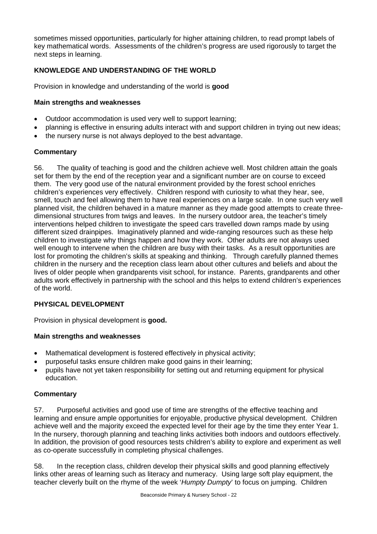sometimes missed opportunities, particularly for higher attaining children, to read prompt labels of key mathematical words. Assessments of the children's progress are used rigorously to target the next steps in learning.

# **KNOWLEDGE AND UNDERSTANDING OF THE WORLD**

Provision in knowledge and understanding of the world is **good** 

## **Main strengths and weaknesses**

- Outdoor accommodation is used very well to support learning;
- planning is effective in ensuring adults interact with and support children in trying out new ideas;
- the nursery nurse is not always deployed to the best advantage.

# **Commentary**

56. The quality of teaching is good and the children achieve well. Most children attain the goals set for them by the end of the reception year and a significant number are on course to exceed them. The very good use of the natural environment provided by the forest school enriches children's experiences very effectively. Children respond with curiosity to what they hear, see, smell, touch and feel allowing them to have real experiences on a large scale. In one such very well planned visit, the children behaved in a mature manner as they made good attempts to create threedimensional structures from twigs and leaves. In the nursery outdoor area, the teacher's timely interventions helped children to investigate the speed cars travelled down ramps made by using different sized drainpipes. Imaginatively planned and wide-ranging resources such as these help children to investigate why things happen and how they work. Other adults are not always used well enough to intervene when the children are busy with their tasks. As a result opportunities are lost for promoting the children's skills at speaking and thinking. Through carefully planned themes children in the nursery and the reception class learn about other cultures and beliefs and about the lives of older people when grandparents visit school, for instance. Parents, grandparents and other adults work effectively in partnership with the school and this helps to extend children's experiences of the world.

# **PHYSICAL DEVELOPMENT**

Provision in physical development is **good.** 

## **Main strengths and weaknesses**

- Mathematical development is fostered effectively in physical activity:
- purposeful tasks ensure children make good gains in their learning;
- pupils have not yet taken responsibility for setting out and returning equipment for physical education.

# **Commentary**

57. Purposeful activities and good use of time are strengths of the effective teaching and learning and ensure ample opportunities for enjoyable, productive physical development. Children achieve well and the majority exceed the expected level for their age by the time they enter Year 1. In the nursery, thorough planning and teaching links activities both indoors and outdoors effectively. In addition, the provision of good resources tests children's ability to explore and experiment as well as co-operate successfully in completing physical challenges.

58. In the reception class, children develop their physical skills and good planning effectively links other areas of learning such as literacy and numeracy. Using large soft play equipment, the teacher cleverly built on the rhyme of the week '*Humpty Dumpty*' to focus on jumping. Children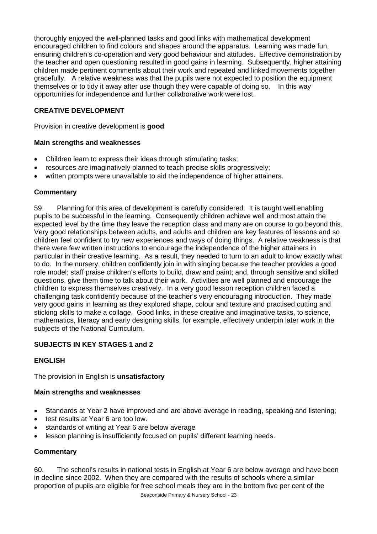thoroughly enjoyed the well-planned tasks and good links with mathematical development encouraged children to find colours and shapes around the apparatus. Learning was made fun, ensuring children's co-operation and very good behaviour and attitudes. Effective demonstration by the teacher and open questioning resulted in good gains in learning. Subsequently, higher attaining children made pertinent comments about their work and repeated and linked movements together gracefully. A relative weakness was that the pupils were not expected to position the equipment themselves or to tidy it away after use though they were capable of doing so. In this way opportunities for independence and further collaborative work were lost.

# **CREATIVE DEVELOPMENT**

Provision in creative development is **good** 

## **Main strengths and weaknesses**

- Children learn to express their ideas through stimulating tasks;
- resources are imaginatively planned to teach precise skills progressively;
- written prompts were unavailable to aid the independence of higher attainers.

## **Commentary**

59. Planning for this area of development is carefully considered. It is taught well enabling pupils to be successful in the learning. Consequently children achieve well and most attain the expected level by the time they leave the reception class and many are on course to go beyond this. Very good relationships between adults, and adults and children are key features of lessons and so children feel confident to try new experiences and ways of doing things. A relative weakness is that there were few written instructions to encourage the independence of the higher attainers in particular in their creative learning. As a result, they needed to turn to an adult to know exactly what to do. In the nursery, children confidently join in with singing because the teacher provides a good role model; staff praise children's efforts to build, draw and paint; and, through sensitive and skilled questions, give them time to talk about their work. Activities are well planned and encourage the children to express themselves creatively. In a very good lesson reception children faced a challenging task confidently because of the teacher's very encouraging introduction. They made very good gains in learning as they explored shape, colour and texture and practised cutting and sticking skills to make a collage. Good links, in these creative and imaginative tasks, to science, mathematics, literacy and early designing skills, for example, effectively underpin later work in the subjects of the National Curriculum.

## **SUBJECTS IN KEY STAGES 1 and 2**

# **ENGLISH**

The provision in English is **unsatisfactory**

## **Main strengths and weaknesses**

- Standards at Year 2 have improved and are above average in reading, speaking and listening;
- test results at Year 6 are too low.
- standards of writing at Year 6 are below average
- lesson planning is insufficiently focused on pupils' different learning needs.

## **Commentary**

60. The school's results in national tests in English at Year 6 are below average and have been in decline since 2002. When they are compared with the results of schools where a similar proportion of pupils are eligible for free school meals they are in the bottom five per cent of the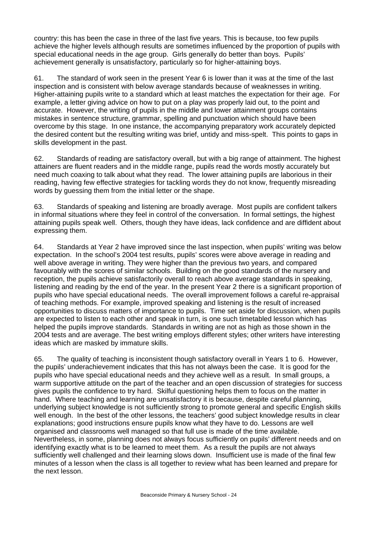country: this has been the case in three of the last five years. This is because, too few pupils achieve the higher levels although results are sometimes influenced by the proportion of pupils with special educational needs in the age group. Girls generally do better than boys. Pupils' achievement generally is unsatisfactory, particularly so for higher-attaining boys.

61. The standard of work seen in the present Year 6 is lower than it was at the time of the last inspection and is consistent with below average standards because of weaknesses in writing. Higher-attaining pupils write to a standard which at least matches the expectation for their age. For example, a letter giving advice on how to put on a play was properly laid out, to the point and accurate. However, the writing of pupils in the middle and lower attainment groups contains mistakes in sentence structure, grammar, spelling and punctuation which should have been overcome by this stage. In one instance, the accompanying preparatory work accurately depicted the desired content but the resulting writing was brief, untidy and miss-spelt. This points to gaps in skills development in the past.

62. Standards of reading are satisfactory overall, but with a big range of attainment. The highest attainers are fluent readers and in the middle range, pupils read the words mostly accurately but need much coaxing to talk about what they read. The lower attaining pupils are laborious in their reading, having few effective strategies for tackling words they do not know, frequently misreading words by guessing them from the initial letter or the shape.

63. Standards of speaking and listening are broadly average. Most pupils are confident talkers in informal situations where they feel in control of the conversation. In formal settings, the highest attaining pupils speak well. Others, though they have ideas, lack confidence and are diffident about expressing them.

64. Standards at Year 2 have improved since the last inspection, when pupils' writing was below expectation. In the school's 2004 test results, pupils' scores were above average in reading and well above average in writing. They were higher than the previous two years, and compared favourably with the scores of similar schools. Building on the good standards of the nursery and reception, the pupils achieve satisfactorily overall to reach above average standards in speaking, listening and reading by the end of the year. In the present Year 2 there is a significant proportion of pupils who have special educational needs. The overall improvement follows a careful re-appraisal of teaching methods. For example, improved speaking and listening is the result of increased opportunities to discuss matters of importance to pupils. Time set aside for discussion, when pupils are expected to listen to each other and speak in turn, is one such timetabled lesson which has helped the pupils improve standards. Standards in writing are not as high as those shown in the 2004 tests and are average. The best writing employs different styles; other writers have interesting ideas which are masked by immature skills.

65. The quality of teaching is inconsistent though satisfactory overall in Years 1 to 6. However, the pupils' underachievement indicates that this has not always been the case. It is good for the pupils who have special educational needs and they achieve well as a result. In small groups, a warm supportive attitude on the part of the teacher and an open discussion of strategies for success gives pupils the confidence to try hard. Skilful questioning helps them to focus on the matter in hand. Where teaching and learning are unsatisfactory it is because, despite careful planning, underlying subject knowledge is not sufficiently strong to promote general and specific English skills well enough. In the best of the other lessons, the teachers' good subject knowledge results in clear explanations; good instructions ensure pupils know what they have to do. Lessons are well organised and classrooms well managed so that full use is made of the time available. Nevertheless, in some, planning does not always focus sufficiently on pupils' different needs and on identifying exactly what is to be learned to meet them. As a result the pupils are not always sufficiently well challenged and their learning slows down. Insufficient use is made of the final few minutes of a lesson when the class is all together to review what has been learned and prepare for the next lesson.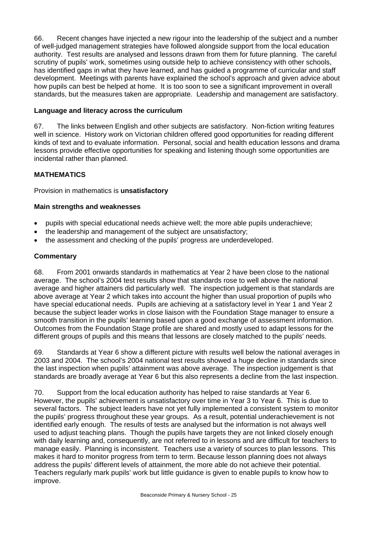66. Recent changes have injected a new rigour into the leadership of the subject and a number of well-judged management strategies have followed alongside support from the local education authority. Test results are analysed and lessons drawn from them for future planning. The careful scrutiny of pupils' work, sometimes using outside help to achieve consistency with other schools, has identified gaps in what they have learned, and has guided a programme of curricular and staff development. Meetings with parents have explained the school's approach and given advice about how pupils can best be helped at home. It is too soon to see a significant improvement in overall standards, but the measures taken are appropriate. Leadership and management are satisfactory.

## **Language and literacy across the curriculum**

67. The links between English and other subjects are satisfactory. Non-fiction writing features well in science. History work on Victorian children offered good opportunities for reading different kinds of text and to evaluate information. Personal, social and health education lessons and drama lessons provide effective opportunities for speaking and listening though some opportunities are incidental rather than planned.

# **MATHEMATICS**

Provision in mathematics is **unsatisfactory** 

## **Main strengths and weaknesses**

- pupils with special educational needs achieve well; the more able pupils underachieve;
- the leadership and management of the subject are unsatisfactory;
- the assessment and checking of the pupils' progress are underdeveloped.

## **Commentary**

68. From 2001 onwards standards in mathematics at Year 2 have been close to the national average. The school's 2004 test results show that standards rose to well above the national average and higher attainers did particularly well. The inspection judgement is that standards are above average at Year 2 which takes into account the higher than usual proportion of pupils who have special educational needs. Pupils are achieving at a satisfactory level in Year 1 and Year 2 because the subject leader works in close liaison with the Foundation Stage manager to ensure a smooth transition in the pupils' learning based upon a good exchange of assessment information. Outcomes from the Foundation Stage profile are shared and mostly used to adapt lessons for the different groups of pupils and this means that lessons are closely matched to the pupils' needs.

69. Standards at Year 6 show a different picture with results well below the national averages in 2003 and 2004. The school's 2004 national test results showed a huge decline in standards since the last inspection when pupils' attainment was above average. The inspection judgement is that standards are broadly average at Year 6 but this also represents a decline from the last inspection.

70. Support from the local education authority has helped to raise standards at Year 6. However, the pupils' achievement is unsatisfactory over time in Year 3 to Year 6. This is due to several factors. The subject leaders have not yet fully implemented a consistent system to monitor the pupils' progress throughout these year groups. As a result, potential underachievement is not identified early enough. The results of tests are analysed but the information is not always well used to adjust teaching plans. Though the pupils have targets they are not linked closely enough with daily learning and, consequently, are not referred to in lessons and are difficult for teachers to manage easily. Planning is inconsistent. Teachers use a variety of sources to plan lessons. This makes it hard to monitor progress from term to term. Because lesson planning does not always address the pupils' different levels of attainment, the more able do not achieve their potential. Teachers regularly mark pupils' work but little guidance is given to enable pupils to know how to improve.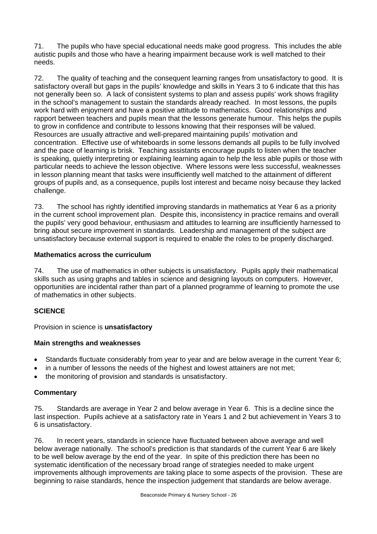71. The pupils who have special educational needs make good progress. This includes the able autistic pupils and those who have a hearing impairment because work is well matched to their needs.

72. The quality of teaching and the consequent learning ranges from unsatisfactory to good. It is satisfactory overall but gaps in the pupils' knowledge and skills in Years 3 to 6 indicate that this has not generally been so. A lack of consistent systems to plan and assess pupils' work shows fragility in the school's management to sustain the standards already reached. In most lessons, the pupils work hard with enjoyment and have a positive attitude to mathematics. Good relationships and rapport between teachers and pupils mean that the lessons generate humour. This helps the pupils to grow in confidence and contribute to lessons knowing that their responses will be valued. Resources are usually attractive and well-prepared maintaining pupils' motivation and concentration. Effective use of whiteboards in some lessons demands all pupils to be fully involved and the pace of learning is brisk. Teaching assistants encourage pupils to listen when the teacher is speaking, quietly interpreting or explaining learning again to help the less able pupils or those with particular needs to achieve the lesson objective. Where lessons were less successful, weaknesses in lesson planning meant that tasks were insufficiently well matched to the attainment of different groups of pupils and, as a consequence, pupils lost interest and became noisy because they lacked challenge.

73. The school has rightly identified improving standards in mathematics at Year 6 as a priority in the current school improvement plan. Despite this, inconsistency in practice remains and overall the pupils' very good behaviour, enthusiasm and attitudes to learning are insufficiently harnessed to bring about secure improvement in standards. Leadership and management of the subject are unsatisfactory because external support is required to enable the roles to be properly discharged.

## **Mathematics across the curriculum**

74. The use of mathematics in other subjects is unsatisfactory. Pupils apply their mathematical skills such as using graphs and tables in science and designing layouts on computers. However, opportunities are incidental rather than part of a planned programme of learning to promote the use of mathematics in other subjects.

# **SCIENCE**

Provision in science is **unsatisfactory**

# **Main strengths and weaknesses**

- Standards fluctuate considerably from year to year and are below average in the current Year 6;
- in a number of lessons the needs of the highest and lowest attainers are not met;
- the monitoring of provision and standards is unsatisfactory.

# **Commentary**

75. Standards are average in Year 2 and below average in Year 6. This is a decline since the last inspection. Pupils achieve at a satisfactory rate in Years 1 and 2 but achievement in Years 3 to 6 is unsatisfactory.

76. In recent years, standards in science have fluctuated between above average and well below average nationally. The school's prediction is that standards of the current Year 6 are likely to be well below average by the end of the year. In spite of this prediction there has been no systematic identification of the necessary broad range of strategies needed to make urgent improvements although improvements are taking place to some aspects of the provision. These are beginning to raise standards, hence the inspection judgement that standards are below average.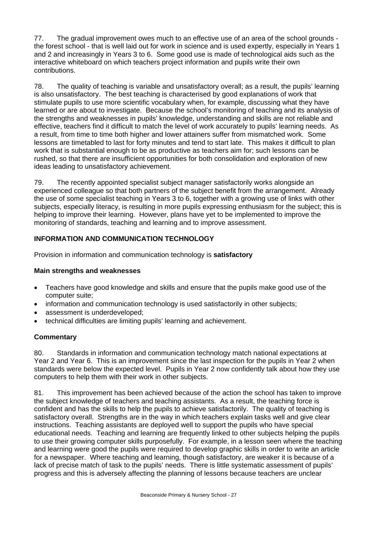77. The gradual improvement owes much to an effective use of an area of the school grounds the forest school - that is well laid out for work in science and is used expertly, especially in Years 1 and 2 and increasingly in Years 3 to 6. Some good use is made of technological aids such as the interactive whiteboard on which teachers project information and pupils write their own contributions.

78. The quality of teaching is variable and unsatisfactory overall; as a result, the pupils' learning is also unsatisfactory. The best teaching is characterised by good explanations of work that stimulate pupils to use more scientific vocabulary when, for example, discussing what they have learned or are about to investigate. Because the school's monitoring of teaching and its analysis of the strengths and weaknesses in pupils' knowledge, understanding and skills are not reliable and effective, teachers find it difficult to match the level of work accurately to pupils' learning needs. As a result, from time to time both higher and lower attainers suffer from mismatched work. Some lessons are timetabled to last for forty minutes and tend to start late. This makes it difficult to plan work that is substantial enough to be as productive as teachers aim for; such lessons can be rushed, so that there are insufficient opportunities for both consolidation and exploration of new ideas leading to unsatisfactory achievement.

79. The recently appointed specialist subject manager satisfactorily works alongside an experienced colleague so that both partners of the subject benefit from the arrangement. Already the use of some specialist teaching in Years 3 to 6, together with a growing use of links with other subjects, especially literacy, is resulting in more pupils expressing enthusiasm for the subject; this is helping to improve their learning. However, plans have yet to be implemented to improve the monitoring of standards, teaching and learning and to improve assessment.

# **INFORMATION AND COMMUNICATION TECHNOLOGY**

Provision in information and communication technology is **satisfactory** 

## **Main strengths and weaknesses**

- Teachers have good knowledge and skills and ensure that the pupils make good use of the computer suite;
- information and communication technology is used satisfactorily in other subjects;
- assessment is underdeveloped;
- technical difficulties are limiting pupils' learning and achievement.

## **Commentary**

80. Standards in information and communication technology match national expectations at Year 2 and Year 6. This is an improvement since the last inspection for the pupils in Year 2 when standards were below the expected level. Pupils in Year 2 now confidently talk about how they use computers to help them with their work in other subjects.

81. This improvement has been achieved because of the action the school has taken to improve the subject knowledge of teachers and teaching assistants. As a result, the teaching force is confident and has the skills to help the pupils to achieve satisfactorily. The quality of teaching is satisfactory overall. Strengths are in the way in which teachers explain tasks well and give clear instructions. Teaching assistants are deployed well to support the pupils who have special educational needs. Teaching and learning are frequently linked to other subjects helping the pupils to use their growing computer skills purposefully. For example, in a lesson seen where the teaching and learning were good the pupils were required to develop graphic skills in order to write an article for a newspaper. Where teaching and learning, though satisfactory, are weaker it is because of a lack of precise match of task to the pupils' needs. There is little systematic assessment of pupils' progress and this is adversely affecting the planning of lessons because teachers are unclear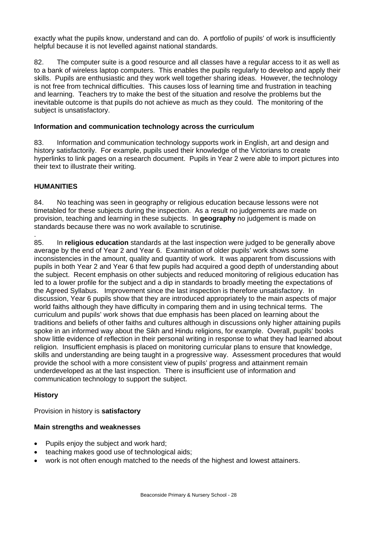exactly what the pupils know, understand and can do. A portfolio of pupils' of work is insufficiently helpful because it is not levelled against national standards.

82. The computer suite is a good resource and all classes have a regular access to it as well as to a bank of wireless laptop computers. This enables the pupils regularly to develop and apply their skills. Pupils are enthusiastic and they work well together sharing ideas. However, the technology is not free from technical difficulties. This causes loss of learning time and frustration in teaching and learning. Teachers try to make the best of the situation and resolve the problems but the inevitable outcome is that pupils do not achieve as much as they could. The monitoring of the subject is unsatisfactory.

## **Information and communication technology across the curriculum**

83. Information and communication technology supports work in English, art and design and history satisfactorily. For example, pupils used their knowledge of the Victorians to create hyperlinks to link pages on a research document. Pupils in Year 2 were able to import pictures into their text to illustrate their writing.

# **HUMANITIES**

84. No teaching was seen in geography or religious education because lessons were not timetabled for these subjects during the inspection. As a result no judgements are made on provision, teaching and learning in these subjects. In **geography** no judgement is made on standards because there was no work available to scrutinise.

. 85. In **religious education** standards at the last inspection were judged to be generally above average by the end of Year 2 and Year 6. Examination of older pupils' work shows some inconsistencies in the amount, quality and quantity of work. It was apparent from discussions with pupils in both Year 2 and Year 6 that few pupils had acquired a good depth of understanding about the subject. Recent emphasis on other subjects and reduced monitoring of religious education has led to a lower profile for the subject and a dip in standards to broadly meeting the expectations of the Agreed Syllabus. Improvement since the last inspection is therefore unsatisfactory. In discussion, Year 6 pupils show that they are introduced appropriately to the main aspects of major world faiths although they have difficulty in comparing them and in using technical terms. The curriculum and pupils' work shows that due emphasis has been placed on learning about the traditions and beliefs of other faiths and cultures although in discussions only higher attaining pupils spoke in an informed way about the Sikh and Hindu religions, for example. Overall, pupils' books show little evidence of reflection in their personal writing in response to what they had learned about religion. Insufficient emphasis is placed on monitoring curricular plans to ensure that knowledge, skills and understanding are being taught in a progressive way. Assessment procedures that would provide the school with a more consistent view of pupils' progress and attainment remain underdeveloped as at the last inspection. There is insufficient use of information and communication technology to support the subject.

## **History**

Provision in history is **satisfactory**

## **Main strengths and weaknesses**

- Pupils enjoy the subject and work hard;
- teaching makes good use of technological aids;
- work is not often enough matched to the needs of the highest and lowest attainers.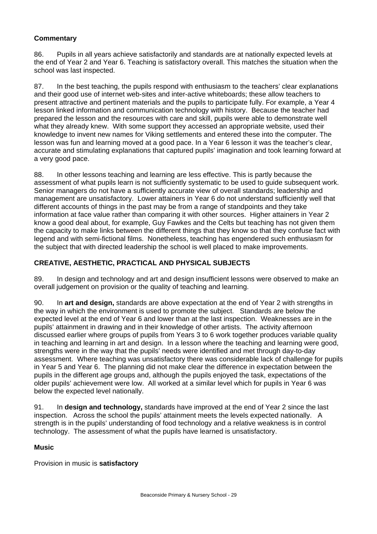# **Commentary**

86. Pupils in all years achieve satisfactorily and standards are at nationally expected levels at the end of Year 2 and Year 6. Teaching is satisfactory overall. This matches the situation when the school was last inspected.

87. In the best teaching, the pupils respond with enthusiasm to the teachers' clear explanations and their good use of internet web-sites and inter-active whiteboards; these allow teachers to present attractive and pertinent materials and the pupils to participate fully. For example, a Year 4 lesson linked information and communication technology with history. Because the teacher had prepared the lesson and the resources with care and skill, pupils were able to demonstrate well what they already knew. With some support they accessed an appropriate website, used their knowledge to invent new names for Viking settlements and entered these into the computer. The lesson was fun and learning moved at a good pace. In a Year 6 lesson it was the teacher's clear, accurate and stimulating explanations that captured pupils' imagination and took learning forward at a very good pace.

88. In other lessons teaching and learning are less effective. This is partly because the assessment of what pupils learn is not sufficiently systematic to be used to guide subsequent work. Senior managers do not have a sufficiently accurate view of overall standards; leadership and management are unsatisfactory. Lower attainers in Year 6 do not understand sufficiently well that different accounts of things in the past may be from a range of standpoints and they take information at face value rather than comparing it with other sources. Higher attainers in Year 2 know a good deal about, for example, Guy Fawkes and the Celts but teaching has not given them the capacity to make links between the different things that they know so that they confuse fact with legend and with semi-fictional films. Nonetheless, teaching has engendered such enthusiasm for the subject that with directed leadership the school is well placed to make improvements.

## **CREATIVE, AESTHETIC, PRACTICAL AND PHYSICAL SUBJECTS**

89. In design and technology and art and design insufficient lessons were observed to make an overall judgement on provision or the quality of teaching and learning.

90. In **art and design,** standards are above expectation at the end of Year 2 with strengths in the way in which the environment is used to promote the subject. Standards are below the expected level at the end of Year 6 and lower than at the last inspection. Weaknesses are in the pupils' attainment in drawing and in their knowledge of other artists. The activity afternoon discussed earlier where groups of pupils from Years 3 to 6 work together produces variable quality in teaching and learning in art and design. In a lesson where the teaching and learning were good, strengths were in the way that the pupils' needs were identified and met through day-to-day assessment. Where teaching was unsatisfactory there was considerable lack of challenge for pupils in Year 5 and Year 6. The planning did not make clear the difference in expectation between the pupils in the different age groups and, although the pupils enjoyed the task, expectations of the older pupils' achievement were low. All worked at a similar level which for pupils in Year 6 was below the expected level nationally.

91. In **design and technology,** standards have improved at the end of Year 2 since the last inspection. Across the school the pupils' attainment meets the levels expected nationally. A strength is in the pupils' understanding of food technology and a relative weakness is in control technology. The assessment of what the pupils have learned is unsatisfactory.

## **Music**

Provision in music is **satisfactory**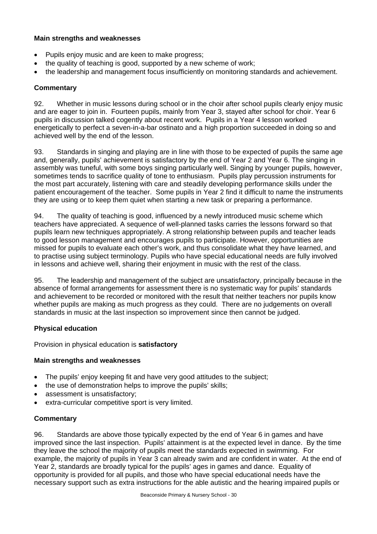## **Main strengths and weaknesses**

- Pupils enjoy music and are keen to make progress;
- the quality of teaching is good, supported by a new scheme of work;
- the leadership and management focus insufficiently on monitoring standards and achievement.

## **Commentary**

92. Whether in music lessons during school or in the choir after school pupils clearly enjoy music and are eager to join in. Fourteen pupils, mainly from Year 3, stayed after school for choir. Year 6 pupils in discussion talked cogently about recent work. Pupils in a Year 4 lesson worked energetically to perfect a seven-in-a-bar ostinato and a high proportion succeeded in doing so and achieved well by the end of the lesson.

93. Standards in singing and playing are in line with those to be expected of pupils the same age and, generally, pupils' achievement is satisfactory by the end of Year 2 and Year 6. The singing in assembly was tuneful, with some boys singing particularly well. Singing by younger pupils, however, sometimes tends to sacrifice quality of tone to enthusiasm. Pupils play percussion instruments for the most part accurately, listening with care and steadily developing performance skills under the patient encouragement of the teacher. Some pupils in Year 2 find it difficult to name the instruments they are using or to keep them quiet when starting a new task or preparing a performance.

94. The quality of teaching is good, influenced by a newly introduced music scheme which teachers have appreciated. A sequence of well-planned tasks carries the lessons forward so that pupils learn new techniques appropriately. A strong relationship between pupils and teacher leads to good lesson management and encourages pupils to participate. However, opportunities are missed for pupils to evaluate each other's work, and thus consolidate what they have learned, and to practise using subject terminology. Pupils who have special educational needs are fully involved in lessons and achieve well, sharing their enjoyment in music with the rest of the class.

95. The leadership and management of the subject are unsatisfactory, principally because in the absence of formal arrangements for assessment there is no systematic way for pupils' standards and achievement to be recorded or monitored with the result that neither teachers nor pupils know whether pupils are making as much progress as they could. There are no judgements on overall standards in music at the last inspection so improvement since then cannot be judged.

## **Physical education**

Provision in physical education is **satisfactory** 

## **Main strengths and weaknesses**

- The pupils' enjoy keeping fit and have very good attitudes to the subject;
- the use of demonstration helps to improve the pupils' skills:
- assessment is unsatisfactory;
- extra-curricular competitive sport is very limited.

## **Commentary**

96. Standards are above those typically expected by the end of Year 6 in games and have improved since the last inspection. Pupils' attainment is at the expected level in dance. By the time they leave the school the majority of pupils meet the standards expected in swimming. For example, the majority of pupils in Year 3 can already swim and are confident in water. At the end of Year 2, standards are broadly typical for the pupils' ages in games and dance. Equality of opportunity is provided for all pupils, and those who have special educational needs have the necessary support such as extra instructions for the able autistic and the hearing impaired pupils or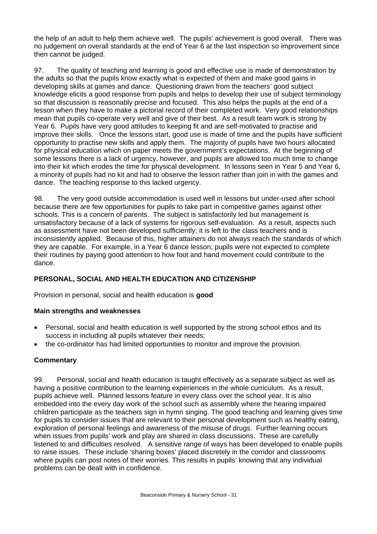the help of an adult to help them achieve well. The pupils' achievement is good overall. There was no judgement on overall standards at the end of Year 6 at the last inspection so improvement since then cannot be judged.

97. The quality of teaching and learning is good and effective use is made of demonstration by the adults so that the pupils know exactly what is expected of them and make good gains in developing skills at games and dance. Questioning drawn from the teachers' good subject knowledge elicits a good response from pupils and helps to develop their use of subject terminology so that discussion is reasonably precise and focused. This also helps the pupils at the end of a lesson when they have to make a pictorial record of their completed work. Very good relationships mean that pupils co-operate very well and give of their best. As a result team work is strong by Year 6. Pupils have very good attitudes to keeping fit and are self-motivated to practise and improve their skills. Once the lessons start, good use is made of time and the pupils have sufficient opportunity to practise new skills and apply them. The majority of pupils have two hours allocated for physical education which on paper meets the government's expectations. At the beginning of some lessons there is a lack of urgency, however, and pupils are allowed too much time to change into their kit which erodes the time for physical development. In lessons seen in Year 5 and Year 6, a minority of pupils had no kit and had to observe the lesson rather than join in with the games and dance. The teaching response to this lacked urgency.

98. The very good outside accommodation is used well in lessons but under-used after school because there are few opportunities for pupils to take part in competitive games against other schools. This is a concern of parents. The subject is satisfactorily led but management is unsatisfactory because of a lack of systems for rigorous self-evaluation. As a result, aspects such as assessment have not been developed sufficiently; it is left to the class teachers and is inconsistently applied. Because of this, higher attainers do not always reach the standards of which they are capable. For example, in a Year 6 dance lesson, pupils were not expected to complete their routines by paying good attention to how foot and hand movement could contribute to the dance.

# **PERSONAL, SOCIAL AND HEALTH EDUCATION AND CITIZENSHIP**

Provision in personal, social and health education is **good** 

# **Main strengths and weaknesses**

- Personal, social and health education is well supported by the strong school ethos and its success in including all pupils whatever their needs;
- the co-ordinator has had limited opportunities to monitor and improve the provision.

## **Commentary**

99. Personal, social and health education is taught effectively as a separate subject as well as having a positive contribution to the learning experiences in the whole curriculum. As a result, pupils achieve well. Planned lessons feature in every class over the school year. It is also embedded into the every day work of the school such as assembly where the hearing impaired children participate as the teachers sign in hymn singing. The good teaching and learning gives time for pupils to consider issues that are relevant to their personal development such as healthy eating, exploration of personal feelings and awareness of the misuse of drugs. Further learning occurs when issues from pupils' work and play are shared in class discussions. These are carefully listened to and difficulties resolved. A sensitive range of ways has been developed to enable pupils to raise issues. These include 'sharing boxes' placed discretely in the corridor and classrooms where pupils can post notes of their worries. This results in pupils' knowing that any individual problems can be dealt with in confidence.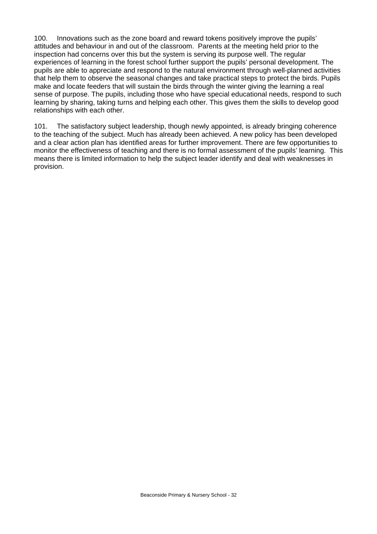100. Innovations such as the zone board and reward tokens positively improve the pupils' attitudes and behaviour in and out of the classroom. Parents at the meeting held prior to the inspection had concerns over this but the system is serving its purpose well. The regular experiences of learning in the forest school further support the pupils' personal development. The pupils are able to appreciate and respond to the natural environment through well-planned activities that help them to observe the seasonal changes and take practical steps to protect the birds. Pupils make and locate feeders that will sustain the birds through the winter giving the learning a real sense of purpose. The pupils, including those who have special educational needs, respond to such learning by sharing, taking turns and helping each other. This gives them the skills to develop good relationships with each other.

101. The satisfactory subject leadership, though newly appointed, is already bringing coherence to the teaching of the subject. Much has already been achieved. A new policy has been developed and a clear action plan has identified areas for further improvement. There are few opportunities to monitor the effectiveness of teaching and there is no formal assessment of the pupils' learning. This means there is limited information to help the subject leader identify and deal with weaknesses in provision.